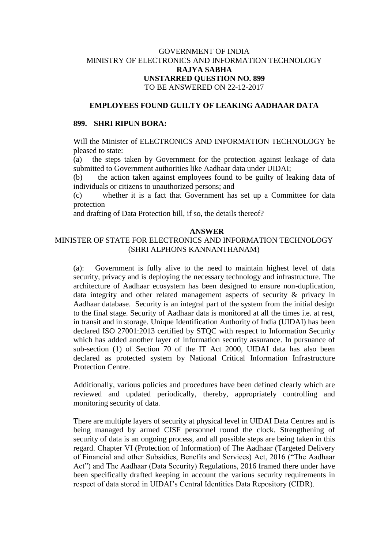# GOVERNMENT OF INDIA MINISTRY OF ELECTRONICS AND INFORMATION TECHNOLOGY **RAJYA SABHA UNSTARRED QUESTION NO. 899** TO BE ANSWERED ON 22-12-2017

### **EMPLOYEES FOUND GUILTY OF LEAKING AADHAAR DATA**

#### **899. SHRI RIPUN BORA:**

Will the Minister of ELECTRONICS AND INFORMATION TECHNOLOGY be pleased to state:

(a) the steps taken by Government for the protection against leakage of data submitted to Government authorities like Aadhaar data under UIDAI;

(b) the action taken against employees found to be guilty of leaking data of individuals or citizens to unauthorized persons; and

(c) whether it is a fact that Government has set up a Committee for data protection

and drafting of Data Protection bill, if so, the details thereof?

# **ANSWER**

### MINISTER OF STATE FOR ELECTRONICS AND INFORMATION TECHNOLOGY (SHRI ALPHONS KANNANTHANAM)

(a): Government is fully alive to the need to maintain highest level of data security, privacy and is deploying the necessary technology and infrastructure. The architecture of Aadhaar ecosystem has been designed to ensure non-duplication, data integrity and other related management aspects of security & privacy in Aadhaar database. Security is an integral part of the system from the initial design to the final stage. Security of Aadhaar data is monitored at all the times i.e. at rest, in transit and in storage. Unique Identification Authority of India (UIDAI) has been declared ISO 27001:2013 certified by STQC with respect to Information Security which has added another layer of information security assurance. In pursuance of sub-section (1) of Section 70 of the IT Act 2000, UIDAI data has also been declared as protected system by National Critical Information Infrastructure Protection Centre.

Additionally, various policies and procedures have been defined clearly which are reviewed and updated periodically, thereby, appropriately controlling and monitoring security of data.

There are multiple layers of security at physical level in UIDAI Data Centres and is being managed by armed CISF personnel round the clock. Strengthening of security of data is an ongoing process, and all possible steps are being taken in this regard. Chapter VI (Protection of Information) of The Aadhaar (Targeted Delivery of Financial and other Subsidies, Benefits and Services) Act, 2016 ("The Aadhaar Act") and The Aadhaar (Data Security) Regulations, 2016 framed there under have been specifically drafted keeping in account the various security requirements in respect of data stored in UIDAI's Central Identities Data Repository (CIDR).